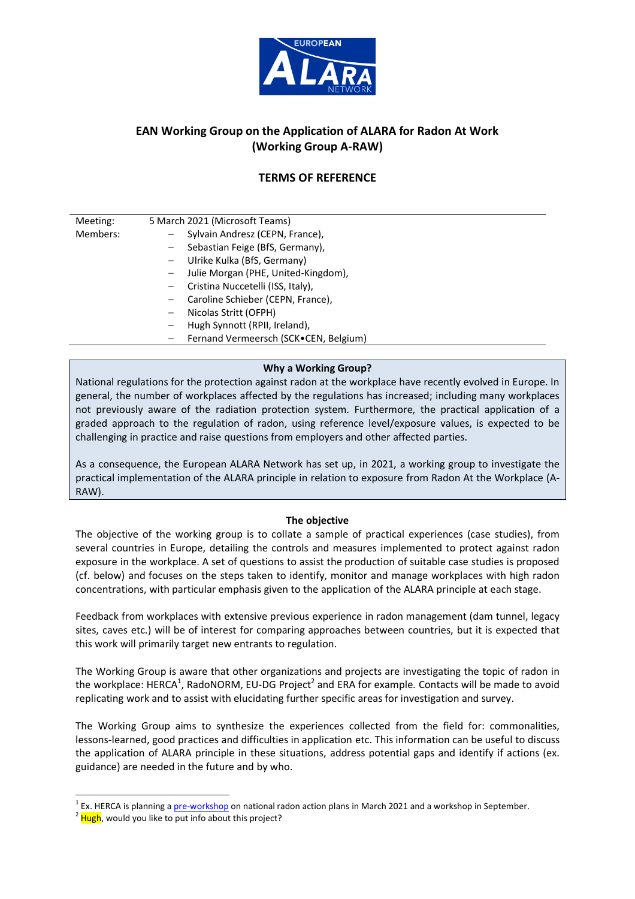

# **EAN Working Group on the Application of ALARA for Radon At Work (Working Group A-RAW)**

# **TERMS OF REFERENCE**

| Meeting: | 5 March 2021 (Microsoft Teams)                         |
|----------|--------------------------------------------------------|
| Members: | Sylvain Andresz (CEPN, France),                        |
|          | Sebastian Feige (BfS, Germany),<br>$-$                 |
|          | Ulrike Kulka (BfS, Germany)<br>$ \,$                   |
|          | Julie Morgan (PHE, United-Kingdom),                    |
|          | Cristina Nuccetelli (ISS, Italy),                      |
|          | Caroline Schieber (CEPN, France),<br>$\qquad \qquad -$ |
|          | Nicolas Stritt (OFPH)<br>—                             |
|          | Hugh Synnott (RPII, Ireland),<br>-                     |
|          | Fernand Vermeersch (SCK.CEN, Belgium)                  |

## **Why a Working Group?**

National regulations for the protection against radon at the workplace have recently evolved in Europe. In general, the number of workplaces affected by the regulations has increased; including many workplaces not previously aware of the radiation protection system. Furthermore, the practical application of a graded approach to the regulation of radon, using reference level/exposure values, is expected to be challenging in practice and raise questions from employers and other affected parties.

As a consequence, the European ALARA Network has set up, in 2021, a working group to investigate the practical implementation of the ALARA principle in relation to exposure from Radon At the Workplace (A-RAW).

#### **The objective**

The objective of the working group is to collate a sample of practical experiences (case studies), from several countries in Europe, detailing the controls and measures implemented to protect against radon exposure in the workplace. A set of questions to assist the production of suitable case studies is proposed (cf. below) and focuses on the steps taken to identify, monitor and manage workplaces with high radon concentrations, with particular emphasis given to the application of the ALARA principle at each stage.

Feedback from workplaces with extensive previous experience in radon management (dam tunnel, legacy sites, caves etc.) will be of interest for comparing approaches between countries, but it is expected that this work will primarily target new entrants to regulation.

The Working Group is aware that other organizations and projects are investigating the topic of radon in the workplace: HERCA<sup>1</sup>, RadoNORM, EU-DG Project<sup>2</sup> and ERA for example. Contacts will be made to avoid replicating work and to assist with elucidating further specific areas for investigation and survey.

The Working Group aims to synthesize the experiences collected from the field for: commonalities, lessons-learned, good practices and difficulties in application etc. This information can be useful to discuss the application of ALARA principle in these situations, address potential gaps and identify if actions (ex. guidance) are needed in the future and by who.

<sup>&</sup>lt;sup>1</sup> Ex. HERCA is planning a *pre-workshop* on national radon action plans in March 2021 and a workshop in September.

<sup>&</sup>lt;sup>2</sup> Hugh, would you like to put info about this project?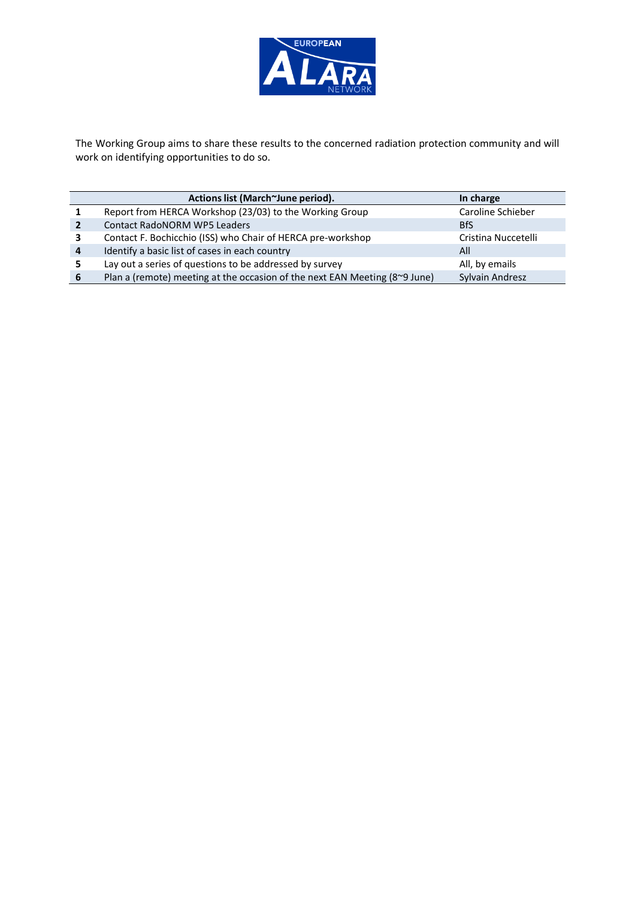

The Working Group aims to share these results to the concerned radiation protection community and will work on identifying opportunities to do so.

|   | Actions list (March~June period).                                          | In charge           |
|---|----------------------------------------------------------------------------|---------------------|
|   | Report from HERCA Workshop (23/03) to the Working Group                    | Caroline Schieber   |
|   | <b>Contact RadoNORM WP5 Leaders</b>                                        | <b>BfS</b>          |
| з | Contact F. Bochicchio (ISS) who Chair of HERCA pre-workshop                | Cristina Nuccetelli |
| 4 | Identify a basic list of cases in each country                             | All                 |
| 5 | Lay out a series of questions to be addressed by survey                    | All, by emails      |
| 6 | Plan a (remote) meeting at the occasion of the next EAN Meeting (8~9 June) | Sylvain Andresz     |